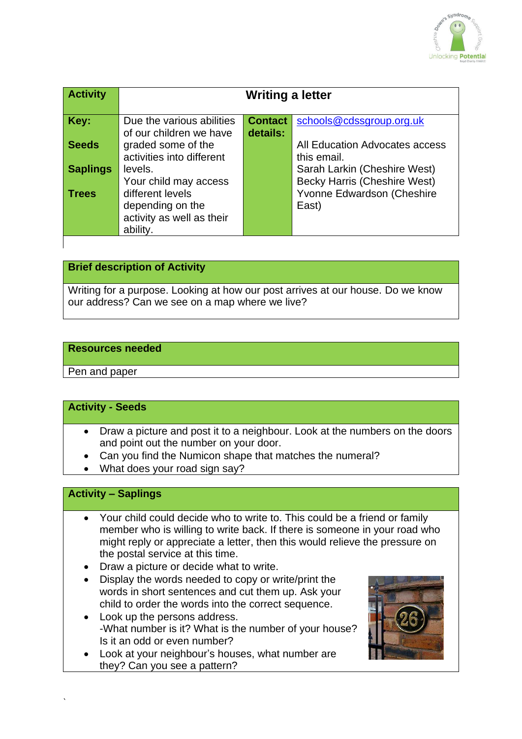

| <b>Activity</b> | Writing a letter                              |                |                                                                   |
|-----------------|-----------------------------------------------|----------------|-------------------------------------------------------------------|
| Key:            | Due the various abilities                     | <b>Contact</b> | schools@cdssgroup.org.uk                                          |
| <b>Seeds</b>    | of our children we have<br>graded some of the | details:       | All Education Advocates access                                    |
| <b>Saplings</b> | activities into different<br>levels.          |                | this email.<br>Sarah Larkin (Cheshire West)                       |
| <b>Trees</b>    | Your child may access<br>different levels     |                | <b>Becky Harris (Cheshire West)</b><br>Yvonne Edwardson (Cheshire |
|                 | depending on the<br>activity as well as their |                | East)                                                             |
|                 | ability.                                      |                |                                                                   |

## **Brief description of Activity**

Writing for a purpose. Looking at how our post arrives at our house. Do we know our address? Can we see on a map where we live?

#### **Resources needed**

Pen and paper

#### **Activity - Seeds**

- Draw a picture and post it to a neighbour. Look at the numbers on the doors and point out the number on your door.
- Can you find the Numicon shape that matches the numeral?
- What does your road sign say?

# **Activity – Saplings**

`

- Your child could decide who to write to. This could be a friend or family member who is willing to write back. If there is someone in your road who might reply or appreciate a letter, then this would relieve the pressure on the postal service at this time.
- Draw a picture or decide what to write.
- Display the words needed to copy or write/print the words in short sentences and cut them up. Ask your child to order the words into the correct sequence.
- Look up the persons address. -What number is it? What is the number of your house? Is it an odd or even number?
- Look at your neighbour's houses, what number are they? Can you see a pattern?